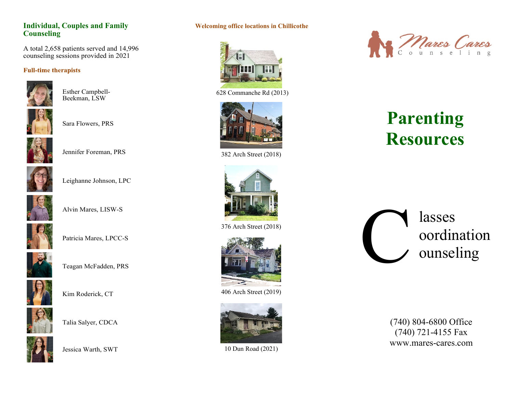### **Individual, Couples and Family Counseling**

A total 2,658 patients served and 14,996 counseling sessions provided in 2021

#### **Full-time therapists**



Esther Campbell-Beekman, LSW



Sara Flowers, PRS



Jennifer Foreman, PRS



Leighanne Johnson, LPC



Alvin Mares, LISW-S



Patricia Mares, LPCC-S



Teagan McFadden, PRS



Kim Roderick, CT



Talia Salyer, CDCA



Jessica Warth, SWT

### **Welcoming office locations in Chillicothe**



628 Commanche Rd (2013)



382 Arch Street (2018)



376 Arch Street (2018)



406 Arch Street (2019)



10 Dun Road (2021)



# **Parenting Resources**



(740) 804-6800 Office (740) 721-4155 Fax www.mares-cares.com